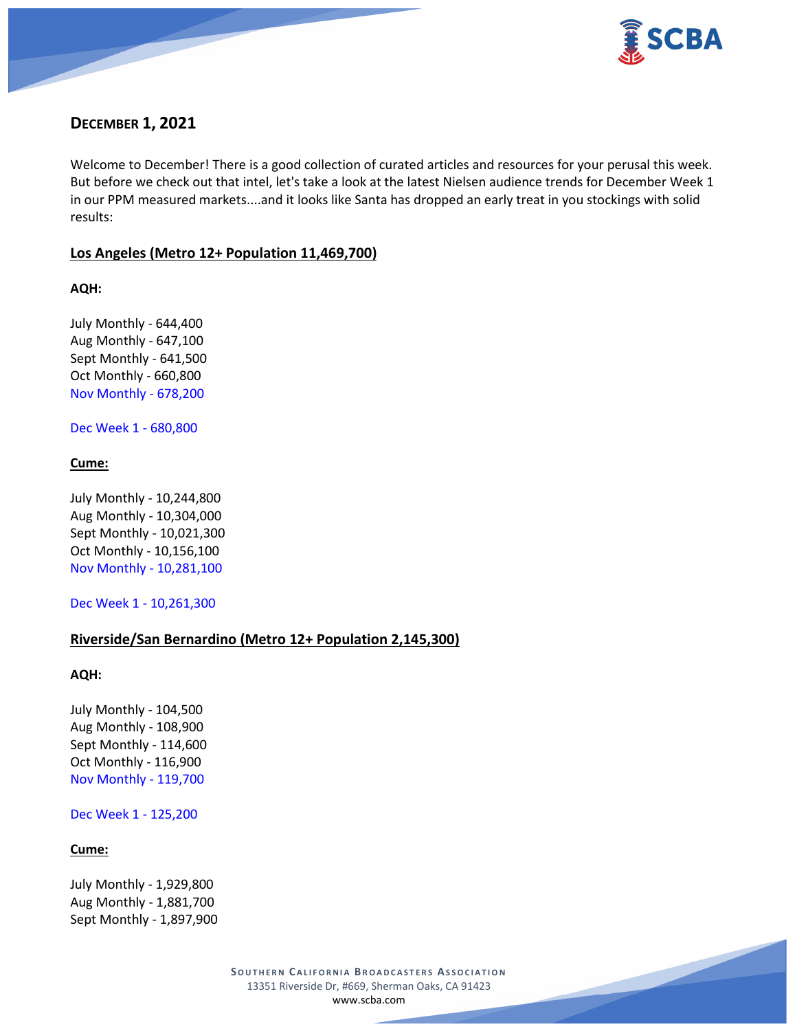

# **DECEMBER 1, 2021**

Welcome to December! There is a good collection of curated articles and resources for your perusal this week. But before we check out that intel, let's take a look at the latest Nielsen audience trends for December Week 1 in our PPM measured markets....and it looks like Santa has dropped an early treat in you stockings with solid results:

### **Los Angeles (Metro 12+ Population 11,469,700)**

**AQH:**

July Monthly - 644,400 Aug Monthly - 647,100 Sept Monthly - 641,500 Oct Monthly - 660,800 Nov Monthly - 678,200

Dec Week 1 - 680,800

### **Cume:**

July Monthly - 10,244,800 Aug Monthly - 10,304,000 Sept Monthly - 10,021,300 Oct Monthly - 10,156,100 Nov Monthly - 10,281,100

Dec Week 1 - 10,261,300

### **Riverside/San Bernardino (Metro 12+ Population 2,145,300)**

#### **AQH:**

July Monthly - 104,500 Aug Monthly - 108,900 Sept Monthly - 114,600 Oct Monthly - 116,900 Nov Monthly - 119,700

Dec Week 1 - 125,200

#### **Cume:**

July Monthly - 1,929,800 Aug Monthly - 1,881,700 Sept Monthly - 1,897,900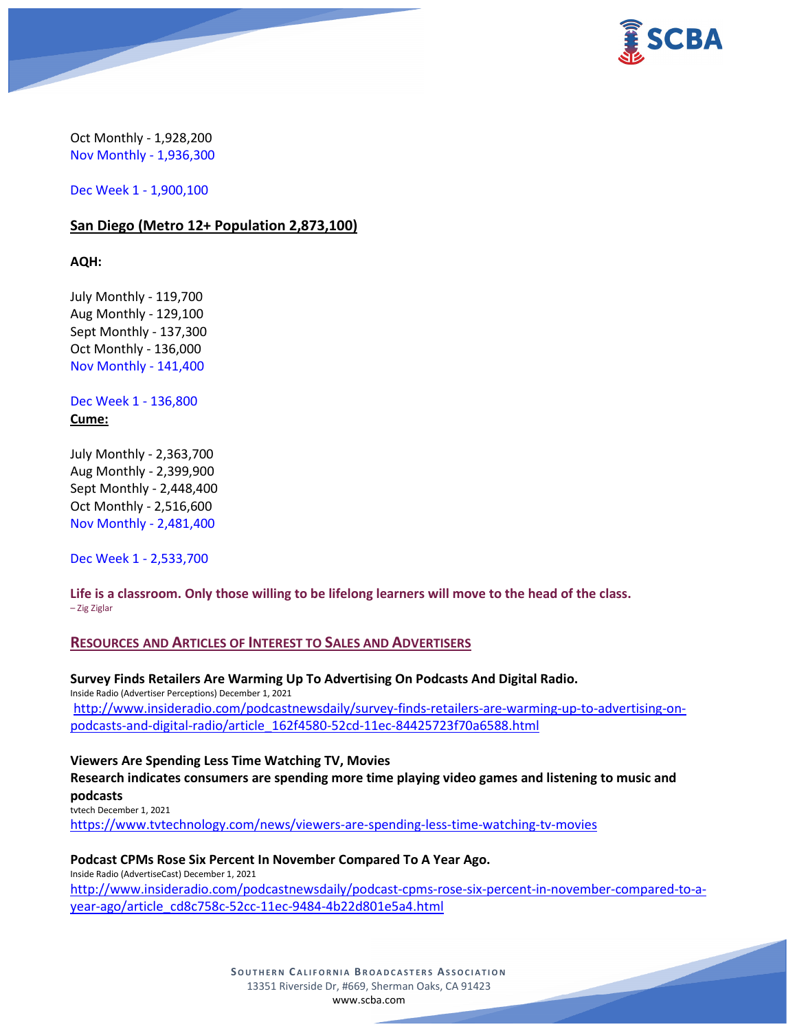

Oct Monthly - 1,928,200 Nov Monthly - 1,936,300

Dec Week 1 - 1,900,100

### **San Diego (Metro 12+ Population 2,873,100)**

**AQH:**

July Monthly - 119,700 Aug Monthly - 129,100 Sept Monthly - 137,300 Oct Monthly - 136,000 Nov Monthly - 141,400

Dec Week 1 - 136,800 **Cume:**

July Monthly - 2,363,700 Aug Monthly - 2,399,900 Sept Monthly - 2,448,400 Oct Monthly - 2,516,600 Nov Monthly - 2,481,400

Dec Week 1 - 2,533,700

**Life is a classroom. Only those willing to be lifelong learners will move to the head of the class.** – Zig Ziglar

### **RESOURCES AND ARTICLES OF INTEREST TO SALES AND ADVERTISERS**

**Survey Finds Retailers Are Warming Up To Advertising On Podcasts And Digital Radio.** Inside Radio (Advertiser Perceptions) December 1, 2021 [http://www.insideradio.com/podcastnewsdaily/survey-finds-retailers-are-warming-up-to-advertising-on](http://www.insideradio.com/podcastnewsdaily/survey-finds-retailers-are-warming-up-to-advertising-on-podcasts-and-digital-radio/article_162f4580-52cd-11ec-84425723f70a6588.html)[podcasts-and-digital-radio/article\\_162f4580-52cd-11ec-84425723f70a6588.html](http://www.insideradio.com/podcastnewsdaily/survey-finds-retailers-are-warming-up-to-advertising-on-podcasts-and-digital-radio/article_162f4580-52cd-11ec-84425723f70a6588.html)

**Viewers Are Spending Less Time Watching TV, Movies Research indicates consumers are spending more time playing video games and listening to music and podcasts** tvtech December 1, 2021

<https://www.tvtechnology.com/news/viewers-are-spending-less-time-watching-tv-movies>

#### **Podcast CPMs Rose Six Percent In November Compared To A Year Ago.**

Inside Radio (AdvertiseCast) December 1, 2021 [http://www.insideradio.com/podcastnewsdaily/podcast-cpms-rose-six-percent-in-november-compared-to-a](http://www.insideradio.com/podcastnewsdaily/podcast-cpms-rose-six-percent-in-november-compared-to-a-year-ago/article_cd8c758c-52cc-11ec-9484-4b22d801e5a4.html)[year-ago/article\\_cd8c758c-52cc-11ec-9484-4b22d801e5a4.html](http://www.insideradio.com/podcastnewsdaily/podcast-cpms-rose-six-percent-in-november-compared-to-a-year-ago/article_cd8c758c-52cc-11ec-9484-4b22d801e5a4.html)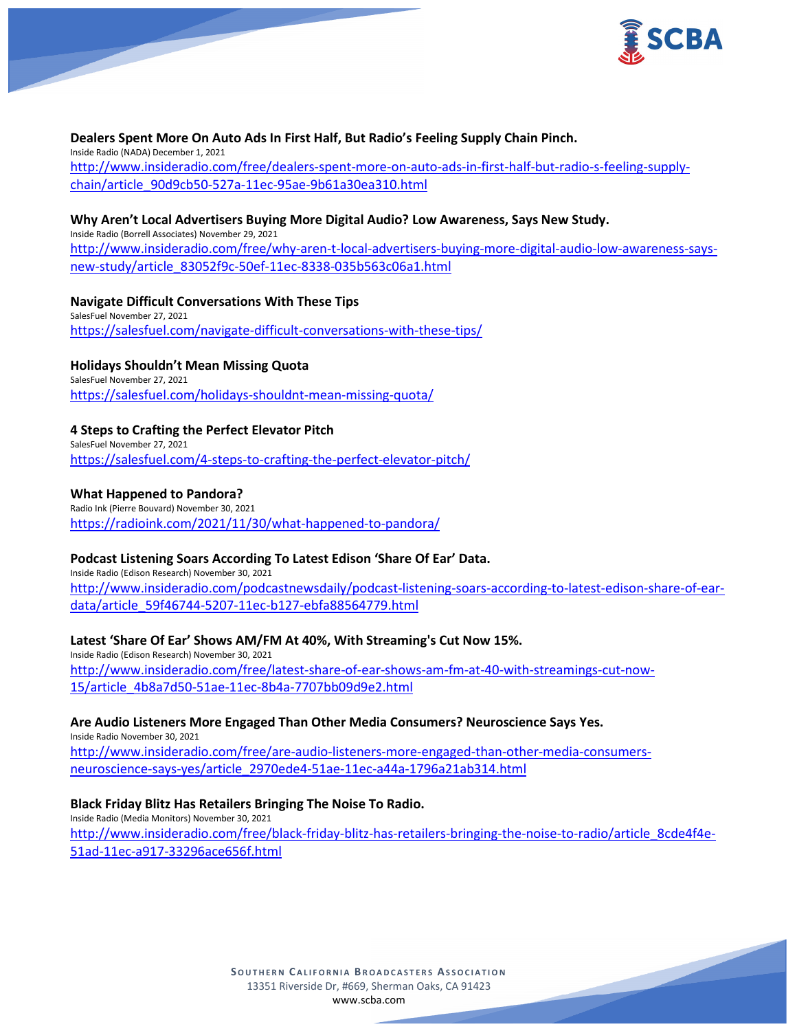

#### **Dealers Spent More On Auto Ads In First Half, But Radio's Feeling Supply Chain Pinch.**

Inside Radio (NADA) December 1, 2021 [http://www.insideradio.com/free/dealers-spent-more-on-auto-ads-in-first-half-but-radio-s-feeling-supply](http://www.insideradio.com/free/dealers-spent-more-on-auto-ads-in-first-half-but-radio-s-feeling-supply-chain/article_90d9cb50-527a-11ec-95ae-9b61a30ea310.html)[chain/article\\_90d9cb50-527a-11ec-95ae-9b61a30ea310.html](http://www.insideradio.com/free/dealers-spent-more-on-auto-ads-in-first-half-but-radio-s-feeling-supply-chain/article_90d9cb50-527a-11ec-95ae-9b61a30ea310.html)

#### **Why Aren't Local Advertisers Buying More Digital Audio? Low Awareness, Says New Study.** Inside Radio (Borrell Associates) November 29, 2021

[http://www.insideradio.com/free/why-aren-t-local-advertisers-buying-more-digital-audio-low-awareness-says](http://www.insideradio.com/free/why-aren-t-local-advertisers-buying-more-digital-audio-low-awareness-says-new-study/article_83052f9c-50ef-11ec-8338-035b563c06a1.html)[new-study/article\\_83052f9c-50ef-11ec-8338-035b563c06a1.html](http://www.insideradio.com/free/why-aren-t-local-advertisers-buying-more-digital-audio-low-awareness-says-new-study/article_83052f9c-50ef-11ec-8338-035b563c06a1.html)

**Navigate Difficult Conversations With These Tips** SalesFuel November 27, 2021 <https://salesfuel.com/navigate-difficult-conversations-with-these-tips/>

**Holidays Shouldn't Mean Missing Quota** SalesFuel November 27, 2021 <https://salesfuel.com/holidays-shouldnt-mean-missing-quota/>

#### **4 Steps to Crafting the Perfect Elevator Pitch**

SalesFuel November 27, 2021 <https://salesfuel.com/4-steps-to-crafting-the-perfect-elevator-pitch/>

#### **What Happened to Pandora?**

Radio Ink (Pierre Bouvard) November 30, 2021 <https://radioink.com/2021/11/30/what-happened-to-pandora/>

#### **Podcast Listening Soars According To Latest Edison 'Share Of Ear' Data.**

Inside Radio (Edison Research) November 30, 2021 [http://www.insideradio.com/podcastnewsdaily/podcast-listening-soars-according-to-latest-edison-share-of-ear](http://www.insideradio.com/podcastnewsdaily/podcast-listening-soars-according-to-latest-edison-share-of-ear-data/article_59f46744-5207-11ec-b127-ebfa88564779.html)[data/article\\_59f46744-5207-11ec-b127-ebfa88564779.html](http://www.insideradio.com/podcastnewsdaily/podcast-listening-soars-according-to-latest-edison-share-of-ear-data/article_59f46744-5207-11ec-b127-ebfa88564779.html)

**Latest 'Share Of Ear' Shows AM/FM At 40%, With Streaming's Cut Now 15%.**

Inside Radio (Edison Research) November 30, 2021 [http://www.insideradio.com/free/latest-share-of-ear-shows-am-fm-at-40-with-streamings-cut-now-](http://www.insideradio.com/free/latest-share-of-ear-shows-am-fm-at-40-with-streamings-cut-now-15/article_4b8a7d50-51ae-11ec-8b4a-7707bb09d9e2.html)[15/article\\_4b8a7d50-51ae-11ec-8b4a-7707bb09d9e2.html](http://www.insideradio.com/free/latest-share-of-ear-shows-am-fm-at-40-with-streamings-cut-now-15/article_4b8a7d50-51ae-11ec-8b4a-7707bb09d9e2.html)

**Are Audio Listeners More Engaged Than Other Media Consumers? Neuroscience Says Yes.** Inside Radio November 30, 2021 [http://www.insideradio.com/free/are-audio-listeners-more-engaged-than-other-media-consumers-](http://www.insideradio.com/free/are-audio-listeners-more-engaged-than-other-media-consumers-neuroscience-says-yes/article_2970ede4-51ae-11ec-a44a-1796a21ab314.html)

[neuroscience-says-yes/article\\_2970ede4-51ae-11ec-a44a-1796a21ab314.html](http://www.insideradio.com/free/are-audio-listeners-more-engaged-than-other-media-consumers-neuroscience-says-yes/article_2970ede4-51ae-11ec-a44a-1796a21ab314.html)

### **Black Friday Blitz Has Retailers Bringing The Noise To Radio.**

Inside Radio (Media Monitors) November 30, 2021 [http://www.insideradio.com/free/black-friday-blitz-has-retailers-bringing-the-noise-to-radio/article\\_8cde4f4e-](http://www.insideradio.com/free/black-friday-blitz-has-retailers-bringing-the-noise-to-radio/article_8cde4f4e-51ad-11ec-a917-33296ace656f.html)[51ad-11ec-a917-33296ace656f.html](http://www.insideradio.com/free/black-friday-blitz-has-retailers-bringing-the-noise-to-radio/article_8cde4f4e-51ad-11ec-a917-33296ace656f.html)

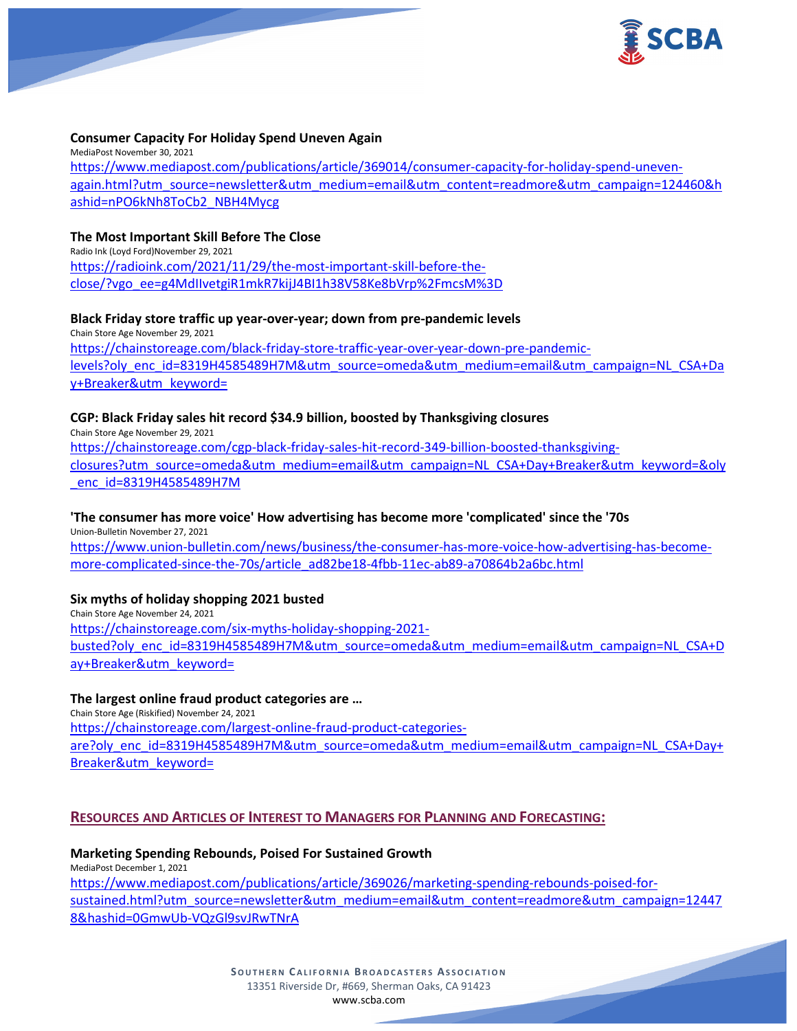

#### **Consumer Capacity For Holiday Spend Uneven Again**

MediaPost November 30, 2021 [https://www.mediapost.com/publications/article/369014/consumer-capacity-for-holiday-spend-uneven](https://www.mediapost.com/publications/article/369014/consumer-capacity-for-holiday-spend-uneven-again.html?utm_source=newsletter&utm_medium=email&utm_content=readmore&utm_campaign=124460&hashid=nPO6kNh8ToCb2_NBH4Mycg)[again.html?utm\\_source=newsletter&utm\\_medium=email&utm\\_content=readmore&utm\\_campaign=124460&h](https://www.mediapost.com/publications/article/369014/consumer-capacity-for-holiday-spend-uneven-again.html?utm_source=newsletter&utm_medium=email&utm_content=readmore&utm_campaign=124460&hashid=nPO6kNh8ToCb2_NBH4Mycg) [ashid=nPO6kNh8ToCb2\\_NBH4Mycg](https://www.mediapost.com/publications/article/369014/consumer-capacity-for-holiday-spend-uneven-again.html?utm_source=newsletter&utm_medium=email&utm_content=readmore&utm_campaign=124460&hashid=nPO6kNh8ToCb2_NBH4Mycg)

#### **The Most Important Skill Before The Close**

Radio Ink (Loyd Ford)November 29, 2021 [https://radioink.com/2021/11/29/the-most-important-skill-before-the](https://radioink.com/2021/11/29/the-most-important-skill-before-the-close/?vgo_ee=g4MdIIvetgiR1mkR7kijJ4BI1h38V58Ke8bVrp%2FmcsM%3D)[close/?vgo\\_ee=g4MdIIvetgiR1mkR7kijJ4BI1h38V58Ke8bVrp%2FmcsM%3D](https://radioink.com/2021/11/29/the-most-important-skill-before-the-close/?vgo_ee=g4MdIIvetgiR1mkR7kijJ4BI1h38V58Ke8bVrp%2FmcsM%3D)

#### **Black Friday store traffic up year-over-year; down from pre-pandemic levels**

Chain Store Age November 29, 2021 [https://chainstoreage.com/black-friday-store-traffic-year-over-year-down-pre-pandemic](https://chainstoreage.com/black-friday-store-traffic-year-over-year-down-pre-pandemic-levels?oly_enc_id=8319H4585489H7M&utm_source=omeda&utm_medium=email&utm_campaign=NL_CSA+Day+Breaker&utm_keyword=)[levels?oly\\_enc\\_id=8319H4585489H7M&utm\\_source=omeda&utm\\_medium=email&utm\\_campaign=NL\\_CSA+Da](https://chainstoreage.com/black-friday-store-traffic-year-over-year-down-pre-pandemic-levels?oly_enc_id=8319H4585489H7M&utm_source=omeda&utm_medium=email&utm_campaign=NL_CSA+Day+Breaker&utm_keyword=) [y+Breaker&utm\\_keyword=](https://chainstoreage.com/black-friday-store-traffic-year-over-year-down-pre-pandemic-levels?oly_enc_id=8319H4585489H7M&utm_source=omeda&utm_medium=email&utm_campaign=NL_CSA+Day+Breaker&utm_keyword=)

#### **CGP: Black Friday sales hit record \$34.9 billion, boosted by Thanksgiving closures**

Chain Store Age November 29, 2021 [https://chainstoreage.com/cgp-black-friday-sales-hit-record-349-billion-boosted-thanksgiving](https://chainstoreage.com/cgp-black-friday-sales-hit-record-349-billion-boosted-thanksgiving-closures?utm_source=omeda&utm_medium=email&utm_campaign=NL_CSA+Day+Breaker&utm_keyword=&oly_enc_id=8319H4585489H7M)[closures?utm\\_source=omeda&utm\\_medium=email&utm\\_campaign=NL\\_CSA+Day+Breaker&utm\\_keyword=&oly](https://chainstoreage.com/cgp-black-friday-sales-hit-record-349-billion-boosted-thanksgiving-closures?utm_source=omeda&utm_medium=email&utm_campaign=NL_CSA+Day+Breaker&utm_keyword=&oly_enc_id=8319H4585489H7M) [\\_enc\\_id=8319H4585489H7M](https://chainstoreage.com/cgp-black-friday-sales-hit-record-349-billion-boosted-thanksgiving-closures?utm_source=omeda&utm_medium=email&utm_campaign=NL_CSA+Day+Breaker&utm_keyword=&oly_enc_id=8319H4585489H7M)

### **'The consumer has more voice' How advertising has become more 'complicated' since the '70s**

Union-Bulletin November 27, 2021 [https://www.union-bulletin.com/news/business/the-consumer-has-more-voice-how-advertising-has-become](https://www.union-bulletin.com/news/business/the-consumer-has-more-voice-how-advertising-has-become-more-complicated-since-the-70s/article_ad82be18-4fbb-11ec-ab89-a70864b2a6bc.html)[more-complicated-since-the-70s/article\\_ad82be18-4fbb-11ec-ab89-a70864b2a6bc.html](https://www.union-bulletin.com/news/business/the-consumer-has-more-voice-how-advertising-has-become-more-complicated-since-the-70s/article_ad82be18-4fbb-11ec-ab89-a70864b2a6bc.html)

### **Six myths of holiday shopping 2021 busted**

Chain Store Age November 24, 2021 [https://chainstoreage.com/six-myths-holiday-shopping-2021](https://chainstoreage.com/six-myths-holiday-shopping-2021-busted?oly_enc_id=8319H4585489H7M&utm_source=omeda&utm_medium=email&utm_campaign=NL_CSA+Day+Breaker&utm_keyword=) [busted?oly\\_enc\\_id=8319H4585489H7M&utm\\_source=omeda&utm\\_medium=email&utm\\_campaign=NL\\_CSA+D](https://chainstoreage.com/six-myths-holiday-shopping-2021-busted?oly_enc_id=8319H4585489H7M&utm_source=omeda&utm_medium=email&utm_campaign=NL_CSA+Day+Breaker&utm_keyword=) [ay+Breaker&utm\\_keyword=](https://chainstoreage.com/six-myths-holiday-shopping-2021-busted?oly_enc_id=8319H4585489H7M&utm_source=omeda&utm_medium=email&utm_campaign=NL_CSA+Day+Breaker&utm_keyword=)

#### **The largest online fraud product categories are …**

Chain Store Age (Riskified) November 24, 2021 [https://chainstoreage.com/largest-online-fraud-product-categories](https://chainstoreage.com/largest-online-fraud-product-categories-are?oly_enc_id=8319H4585489H7M&utm_source=omeda&utm_medium=email&utm_campaign=NL_CSA+Day+Breaker&utm_keyword=)[are?oly\\_enc\\_id=8319H4585489H7M&utm\\_source=omeda&utm\\_medium=email&utm\\_campaign=NL\\_CSA+Day+](https://chainstoreage.com/largest-online-fraud-product-categories-are?oly_enc_id=8319H4585489H7M&utm_source=omeda&utm_medium=email&utm_campaign=NL_CSA+Day+Breaker&utm_keyword=) [Breaker&utm\\_keyword=](https://chainstoreage.com/largest-online-fraud-product-categories-are?oly_enc_id=8319H4585489H7M&utm_source=omeda&utm_medium=email&utm_campaign=NL_CSA+Day+Breaker&utm_keyword=)

### **RESOURCES AND ARTICLES OF INTEREST TO MANAGERS FOR PLANNING AND FORECASTING:**

**Marketing Spending Rebounds, Poised For Sustained Growth** MediaPost December 1, 2021 [https://www.mediapost.com/publications/article/369026/marketing-spending-rebounds-poised-for](https://www.mediapost.com/publications/article/369026/marketing-spending-rebounds-poised-for-sustained.html?utm_source=newsletter&utm_medium=email&utm_content=readmore&utm_campaign=124478&hashid=0GmwUb-VQzGl9svJRwTNrA)[sustained.html?utm\\_source=newsletter&utm\\_medium=email&utm\\_content=readmore&utm\\_campaign=12447](https://www.mediapost.com/publications/article/369026/marketing-spending-rebounds-poised-for-sustained.html?utm_source=newsletter&utm_medium=email&utm_content=readmore&utm_campaign=124478&hashid=0GmwUb-VQzGl9svJRwTNrA) [8&hashid=0GmwUb-VQzGl9svJRwTNrA](https://www.mediapost.com/publications/article/369026/marketing-spending-rebounds-poised-for-sustained.html?utm_source=newsletter&utm_medium=email&utm_content=readmore&utm_campaign=124478&hashid=0GmwUb-VQzGl9svJRwTNrA)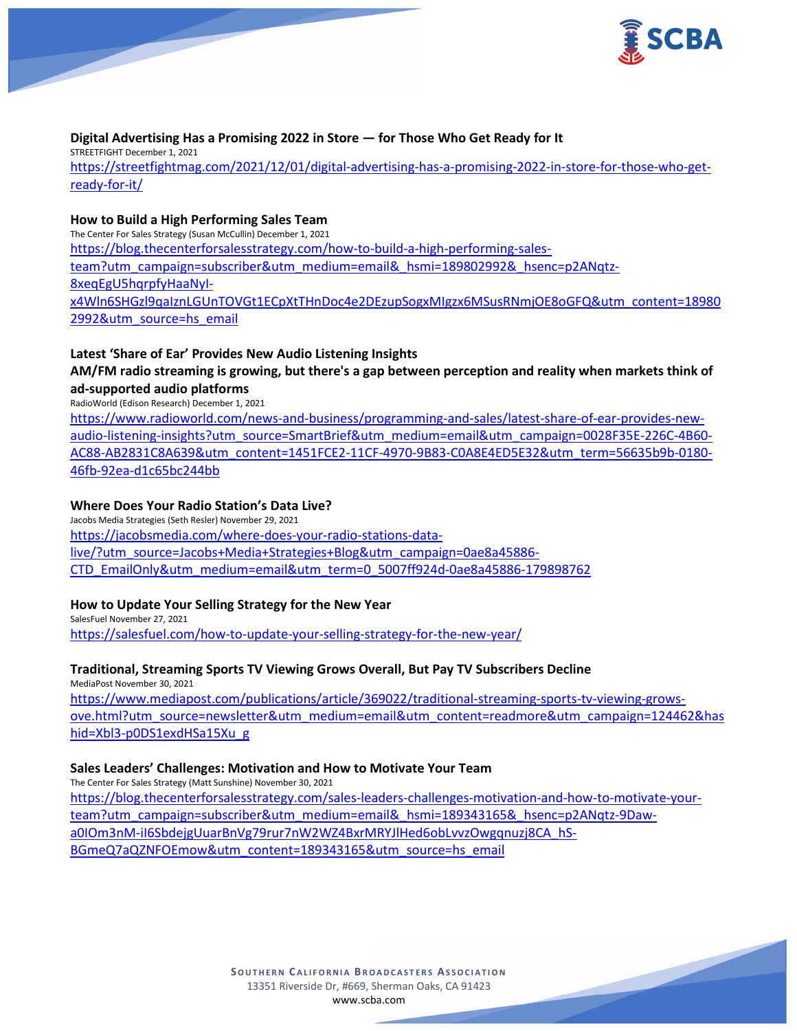

#### **Digital Advertising Has a Promising 2022 in Store — for Those Who Get Ready for It**

STREETFIGHT December 1, 2021

[https://streetfightmag.com/2021/12/01/digital-advertising-has-a-promising-2022-in-store-for-those-who-get](https://streetfightmag.com/2021/12/01/digital-advertising-has-a-promising-2022-in-store-for-those-who-get-ready-for-it/)[ready-for-it/](https://streetfightmag.com/2021/12/01/digital-advertising-has-a-promising-2022-in-store-for-those-who-get-ready-for-it/)

### **How to Build a High Performing Sales Team**

The Center For Sales Strategy (Susan McCullin) December 1, 2021

[https://blog.thecenterforsalesstrategy.com/how-to-build-a-high-performing-sales](https://blog.thecenterforsalesstrategy.com/how-to-build-a-high-performing-sales-team?utm_campaign=subscriber&utm_medium=email&_hsmi=189802992&_hsenc=p2ANqtz-8xeqEgU5hqrpfyHaaNyI-x4Wln6SHGzl9qaIznLGUnTOVGt1ECpXtTHnDoc4e2DEzupSogxMIgzx6MSusRNmjOE8oGFQ&utm_content=189802992&utm_source=hs_email)[team?utm\\_campaign=subscriber&utm\\_medium=email&\\_hsmi=189802992&\\_hsenc=p2ANqtz-](https://blog.thecenterforsalesstrategy.com/how-to-build-a-high-performing-sales-team?utm_campaign=subscriber&utm_medium=email&_hsmi=189802992&_hsenc=p2ANqtz-8xeqEgU5hqrpfyHaaNyI-x4Wln6SHGzl9qaIznLGUnTOVGt1ECpXtTHnDoc4e2DEzupSogxMIgzx6MSusRNmjOE8oGFQ&utm_content=189802992&utm_source=hs_email)[8xeqEgU5hqrpfyHaaNyI-](https://blog.thecenterforsalesstrategy.com/how-to-build-a-high-performing-sales-team?utm_campaign=subscriber&utm_medium=email&_hsmi=189802992&_hsenc=p2ANqtz-8xeqEgU5hqrpfyHaaNyI-x4Wln6SHGzl9qaIznLGUnTOVGt1ECpXtTHnDoc4e2DEzupSogxMIgzx6MSusRNmjOE8oGFQ&utm_content=189802992&utm_source=hs_email)

[x4Wln6SHGzl9qaIznLGUnTOVGt1ECpXtTHnDoc4e2DEzupSogxMIgzx6MSusRNmjOE8oGFQ&utm\\_content=18980](https://blog.thecenterforsalesstrategy.com/how-to-build-a-high-performing-sales-team?utm_campaign=subscriber&utm_medium=email&_hsmi=189802992&_hsenc=p2ANqtz-8xeqEgU5hqrpfyHaaNyI-x4Wln6SHGzl9qaIznLGUnTOVGt1ECpXtTHnDoc4e2DEzupSogxMIgzx6MSusRNmjOE8oGFQ&utm_content=189802992&utm_source=hs_email) [2992&utm\\_source=hs\\_email](https://blog.thecenterforsalesstrategy.com/how-to-build-a-high-performing-sales-team?utm_campaign=subscriber&utm_medium=email&_hsmi=189802992&_hsenc=p2ANqtz-8xeqEgU5hqrpfyHaaNyI-x4Wln6SHGzl9qaIznLGUnTOVGt1ECpXtTHnDoc4e2DEzupSogxMIgzx6MSusRNmjOE8oGFQ&utm_content=189802992&utm_source=hs_email)

### **Latest 'Share of Ear' Provides New Audio Listening Insights**

**AM/FM radio streaming is growing, but there's a gap between perception and reality when markets think of ad-supported audio platforms**

RadioWorld (Edison Research) December 1, 2021

[https://www.radioworld.com/news-and-business/programming-and-sales/latest-share-of-ear-provides-new](https://www.radioworld.com/news-and-business/programming-and-sales/latest-share-of-ear-provides-new-audio-listening-insights?utm_source=SmartBrief&utm_medium=email&utm_campaign=0028F35E-226C-4B60-AC88-AB2831C8A639&utm_content=1451FCE2-11CF-4970-9B83-C0A8E4ED5E32&utm_term=56635b9b-0180-46fb-92ea-d1c65bc244bb)[audio-listening-insights?utm\\_source=SmartBrief&utm\\_medium=email&utm\\_campaign=0028F35E-226C-4B60-](https://www.radioworld.com/news-and-business/programming-and-sales/latest-share-of-ear-provides-new-audio-listening-insights?utm_source=SmartBrief&utm_medium=email&utm_campaign=0028F35E-226C-4B60-AC88-AB2831C8A639&utm_content=1451FCE2-11CF-4970-9B83-C0A8E4ED5E32&utm_term=56635b9b-0180-46fb-92ea-d1c65bc244bb) [AC88-AB2831C8A639&utm\\_content=1451FCE2-11CF-4970-9B83-C0A8E4ED5E32&utm\\_term=56635b9b-0180-](https://www.radioworld.com/news-and-business/programming-and-sales/latest-share-of-ear-provides-new-audio-listening-insights?utm_source=SmartBrief&utm_medium=email&utm_campaign=0028F35E-226C-4B60-AC88-AB2831C8A639&utm_content=1451FCE2-11CF-4970-9B83-C0A8E4ED5E32&utm_term=56635b9b-0180-46fb-92ea-d1c65bc244bb) [46fb-92ea-d1c65bc244bb](https://www.radioworld.com/news-and-business/programming-and-sales/latest-share-of-ear-provides-new-audio-listening-insights?utm_source=SmartBrief&utm_medium=email&utm_campaign=0028F35E-226C-4B60-AC88-AB2831C8A639&utm_content=1451FCE2-11CF-4970-9B83-C0A8E4ED5E32&utm_term=56635b9b-0180-46fb-92ea-d1c65bc244bb)

### **Where Does Your Radio Station's Data Live?**

Jacobs Media Strategies (Seth Resler) November 29, 2021 [https://jacobsmedia.com/where-does-your-radio-stations-data](https://jacobsmedia.com/where-does-your-radio-stations-data-live/?utm_source=Jacobs+Media+Strategies+Blog&utm_campaign=0ae8a45886-CTD_EmailOnly&utm_medium=email&utm_term=0_5007ff924d-0ae8a45886-179898762)[live/?utm\\_source=Jacobs+Media+Strategies+Blog&utm\\_campaign=0ae8a45886-](https://jacobsmedia.com/where-does-your-radio-stations-data-live/?utm_source=Jacobs+Media+Strategies+Blog&utm_campaign=0ae8a45886-CTD_EmailOnly&utm_medium=email&utm_term=0_5007ff924d-0ae8a45886-179898762) [CTD\\_EmailOnly&utm\\_medium=email&utm\\_term=0\\_5007ff924d-0ae8a45886-179898762](https://jacobsmedia.com/where-does-your-radio-stations-data-live/?utm_source=Jacobs+Media+Strategies+Blog&utm_campaign=0ae8a45886-CTD_EmailOnly&utm_medium=email&utm_term=0_5007ff924d-0ae8a45886-179898762)

### **How to Update Your Selling Strategy for the New Year**

SalesFuel November 27, 2021 <https://salesfuel.com/how-to-update-your-selling-strategy-for-the-new-year/>

## **Traditional, Streaming Sports TV Viewing Grows Overall, But Pay TV Subscribers Decline**

MediaPost November 30, 2021 [https://www.mediapost.com/publications/article/369022/traditional-streaming-sports-tv-viewing-grows](https://www.mediapost.com/publications/article/369022/traditional-streaming-sports-tv-viewing-grows-ove.html?utm_source=newsletter&utm_medium=email&utm_content=readmore&utm_campaign=124462&hashid=Xbl3-p0DS1exdHSa15Xu_g)[ove.html?utm\\_source=newsletter&utm\\_medium=email&utm\\_content=readmore&utm\\_campaign=124462&has](https://www.mediapost.com/publications/article/369022/traditional-streaming-sports-tv-viewing-grows-ove.html?utm_source=newsletter&utm_medium=email&utm_content=readmore&utm_campaign=124462&hashid=Xbl3-p0DS1exdHSa15Xu_g) [hid=Xbl3-p0DS1exdHSa15Xu\\_g](https://www.mediapost.com/publications/article/369022/traditional-streaming-sports-tv-viewing-grows-ove.html?utm_source=newsletter&utm_medium=email&utm_content=readmore&utm_campaign=124462&hashid=Xbl3-p0DS1exdHSa15Xu_g)

### **Sales Leaders' Challenges: Motivation and How to Motivate Your Team**

The Center For Sales Strategy (Matt Sunshine) November 30, 2021 [https://blog.thecenterforsalesstrategy.com/sales-leaders-challenges-motivation-and-how-to-motivate-your](https://blog.thecenterforsalesstrategy.com/sales-leaders-challenges-motivation-and-how-to-motivate-your-team?utm_campaign=subscriber&utm_medium=email&_hsmi=189343165&_hsenc=p2ANqtz-9Daw-a0IOm3nM-iI6SbdejgUuarBnVg79rur7nW2WZ4BxrMRYJlHed6obLvvzOwgqnuzj8CA_hS-BGmeQ7aQZNFOEmow&utm_content=189343165&utm_source=hs_email)[team?utm\\_campaign=subscriber&utm\\_medium=email&\\_hsmi=189343165&\\_hsenc=p2ANqtz-9Daw](https://blog.thecenterforsalesstrategy.com/sales-leaders-challenges-motivation-and-how-to-motivate-your-team?utm_campaign=subscriber&utm_medium=email&_hsmi=189343165&_hsenc=p2ANqtz-9Daw-a0IOm3nM-iI6SbdejgUuarBnVg79rur7nW2WZ4BxrMRYJlHed6obLvvzOwgqnuzj8CA_hS-BGmeQ7aQZNFOEmow&utm_content=189343165&utm_source=hs_email)[a0IOm3nM-iI6SbdejgUuarBnVg79rur7nW2WZ4BxrMRYJlHed6obLvvzOwgqnuzj8CA\\_hS-](https://blog.thecenterforsalesstrategy.com/sales-leaders-challenges-motivation-and-how-to-motivate-your-team?utm_campaign=subscriber&utm_medium=email&_hsmi=189343165&_hsenc=p2ANqtz-9Daw-a0IOm3nM-iI6SbdejgUuarBnVg79rur7nW2WZ4BxrMRYJlHed6obLvvzOwgqnuzj8CA_hS-BGmeQ7aQZNFOEmow&utm_content=189343165&utm_source=hs_email)

[BGmeQ7aQZNFOEmow&utm\\_content=189343165&utm\\_source=hs\\_email](https://blog.thecenterforsalesstrategy.com/sales-leaders-challenges-motivation-and-how-to-motivate-your-team?utm_campaign=subscriber&utm_medium=email&_hsmi=189343165&_hsenc=p2ANqtz-9Daw-a0IOm3nM-iI6SbdejgUuarBnVg79rur7nW2WZ4BxrMRYJlHed6obLvvzOwgqnuzj8CA_hS-BGmeQ7aQZNFOEmow&utm_content=189343165&utm_source=hs_email)